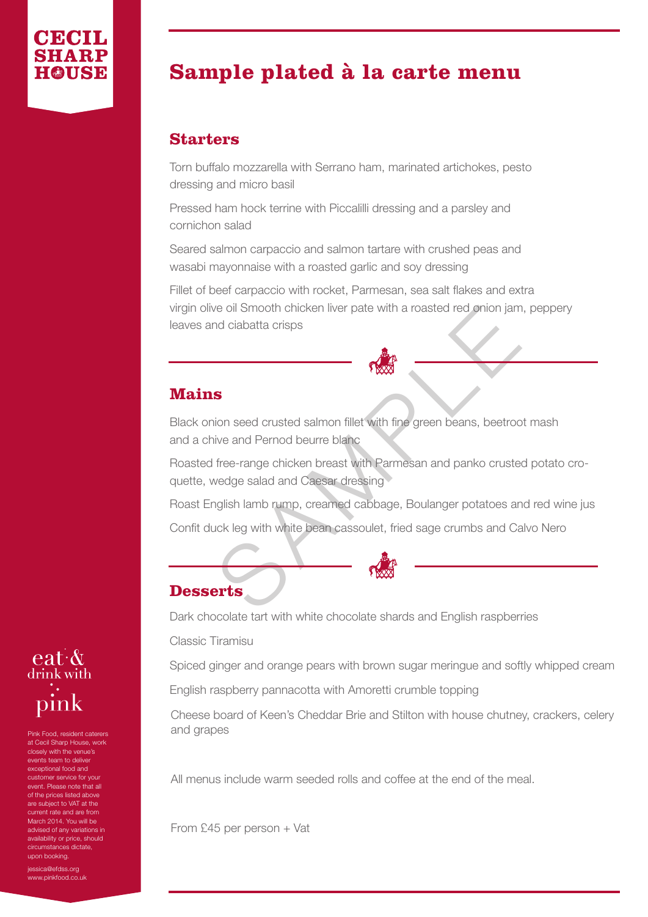## **Sample plated à la carte menu**

## **Starters**

Torn buffalo mozzarella with Serrano ham, marinated artichokes, pesto dressing and micro basil

Pressed ham hock terrine with Piccalilli dressing and a parsley and cornichon salad

Seared salmon carpaccio and salmon tartare with crushed peas and wasabi mayonnaise with a roasted garlic and soy dressing

Fillet of beef carpaccio with rocket, Parmesan, sea salt flakes and extra virgin olive oil Smooth chicken liver pate with a roasted red onion jam, peppery leaves and ciabatta crisps

## **Mains**

Black onion seed crusted salmon fillet with fine green beans, beetroot mash and a chive and Pernod beurre blanc

Roasted free-range chicken breast with Parmesan and panko crusted potato cro quette, wedge salad and Caesar dressing

Figure of Smooth chicken liver pate with a roasted red onion jam<br>and ciabatta crisps<br>Sample of crusted salmon fillet with fine green beans, beetroc<br>ive and Pernod beurre blanc<br>free-range chicken breast with Parmesan and pa Roast English lamb rump, creamed cabbage, Boulanger potatoes and red wine jus Confit duck leg with white bean cassoulet, fried sage crumbs and Calvo Nero

## **Desserts**

Dark chocolate tart with white chocolate shards and English raspberries

Classic Tiramisu

Spiced ginger and orange pears with brown sugar meringue and softly whipped cream

English raspberry pannacotta with Amoretti crumble topping

Cheese board of Keen's Cheddar Brie and Stilton with house chutney, crackers, celery and grapes

All menus include warm seeded rolls and coffee at the end of the meal.

From £45 per person + Vat



Pink Food, resident caterers at Cecil Sharp House, work closely with the venue's events team to deliver exceptional food and customer service for your event. Please note that all of the prices listed above are subject to VAT at the urrent rate and are from March 2014. You will be advised of any variations in availability or price, should circumstances dictate, upon booking.

essica@efdss.org www.pinkfood.co.uk